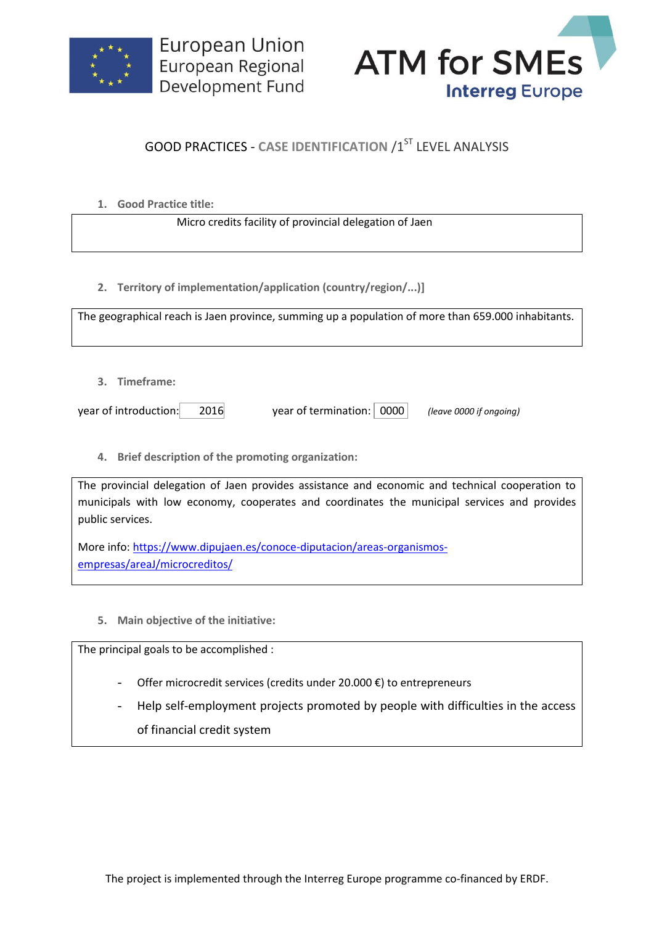



## **GOOD PRACTICES - CASE IDENTIFICATION /1ST LEVEL ANALYSIS**

**1. Good Practice title:**

Micro credits facility of provincial delegation of Jaen

**2. Territory of implementation/application (country/region/...)]**

The geographical reach is Jaen province, summing up a population of more than 659.000 inhabitants.

**3. Timeframe:**

year of introduction: 2016 year of termination: 0000 *(leave 0000 if ongoing)*

**4. Brief description of the promoting organization:**

The provincial delegation of Jaen provides assistance and economic and technical cooperation to municipals with low economy, cooperates and coordinates the municipal services and provides public services.

More info: [https://www.dipujaen.es/conoce-diputacion/areas-organismos](https://www.dipujaen.es/conoce-diputacion/areas-organismos-empresas/areaJ/microcreditos/)[empresas/areaJ/microcreditos/](https://www.dipujaen.es/conoce-diputacion/areas-organismos-empresas/areaJ/microcreditos/)

**5. Main objective of the initiative:**

The principal goals to be accomplished :

- Offer microcredit services (credits under 20.000 €) to entrepreneurs
- Help self-employment projects promoted by people with difficulties in the access of financial credit system